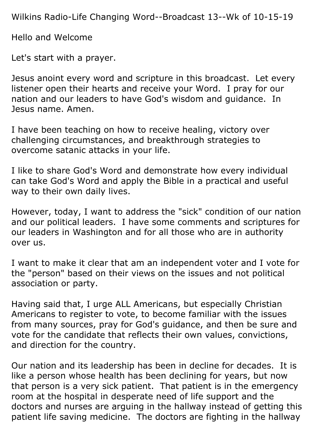Wilkins Radio-Life Changing Word--Broadcast 13--Wk of 10-15-19

Hello and Welcome

Let's start with a prayer.

Jesus anoint every word and scripture in this broadcast. Let every listener open their hearts and receive your Word. I pray for our nation and our leaders to have God's wisdom and guidance. In Jesus name. Amen.

I have been teaching on how to receive healing, victory over challenging circumstances, and breakthrough strategies to overcome satanic attacks in your life.

I like to share God's Word and demonstrate how every individual can take God's Word and apply the Bible in a practical and useful way to their own daily lives.

However, today, I want to address the "sick" condition of our nation and our political leaders. I have some comments and scriptures for our leaders in Washington and for all those who are in authority over us.

I want to make it clear that am an independent voter and I vote for the "person" based on their views on the issues and not political association or party.

Having said that, I urge ALL Americans, but especially Christian Americans to register to vote, to become familiar with the issues from many sources, pray for God's guidance, and then be sure and vote for the candidate that reflects their own values, convictions, and direction for the country.

Our nation and its leadership has been in decline for decades. It is like a person whose health has been declining for years, but now that person is a very sick patient. That patient is in the emergency room at the hospital in desperate need of life support and the doctors and nurses are arguing in the hallway instead of getting this patient life saving medicine. The doctors are fighting in the hallway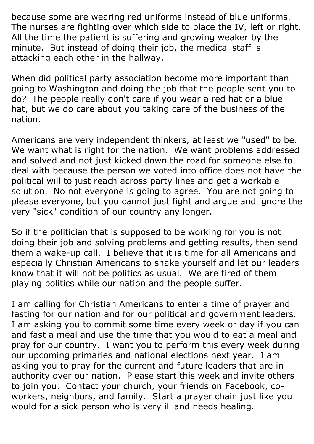because some are wearing red uniforms instead of blue uniforms. The nurses are fighting over which side to place the IV, left or right. All the time the patient is suffering and growing weaker by the minute. But instead of doing their job, the medical staff is attacking each other in the hallway.

When did political party association become more important than going to Washington and doing the job that the people sent you to do? The people really don't care if you wear a red hat or a blue hat, but we do care about you taking care of the business of the nation.

Americans are very independent thinkers, at least we "used" to be. We want what is right for the nation. We want problems addressed and solved and not just kicked down the road for someone else to deal with because the person we voted into office does not have the political will to just reach across party lines and get a workable solution. No not everyone is going to agree. You are not going to please everyone, but you cannot just fight and argue and ignore the very "sick" condition of our country any longer.

So if the politician that is supposed to be working for you is not doing their job and solving problems and getting results, then send them a wake-up call. I believe that it is time for all Americans and especially Christian Americans to shake yourself and let our leaders know that it will not be politics as usual. We are tired of them playing politics while our nation and the people suffer.

I am calling for Christian Americans to enter a time of prayer and fasting for our nation and for our political and government leaders. I am asking you to commit some time every week or day if you can and fast a meal and use the time that you would to eat a meal and pray for our country. I want you to perform this every week during our upcoming primaries and national elections next year. I am asking you to pray for the current and future leaders that are in authority over our nation. Please start this week and invite others to join you. Contact your church, your friends on Facebook, coworkers, neighbors, and family. Start a prayer chain just like you would for a sick person who is very ill and needs healing.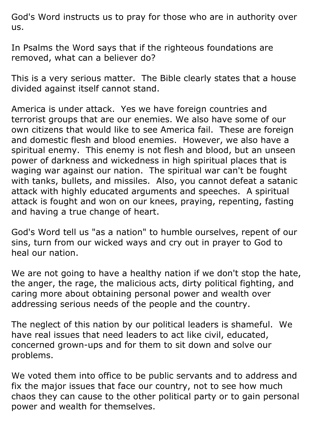God's Word instructs us to pray for those who are in authority over us.

In Psalms the Word says that if the righteous foundations are removed, what can a believer do?

This is a very serious matter. The Bible clearly states that a house divided against itself cannot stand.

America is under attack. Yes we have foreign countries and terrorist groups that are our enemies. We also have some of our own citizens that would like to see America fail. These are foreign and domestic flesh and blood enemies. However, we also have a spiritual enemy. This enemy is not flesh and blood, but an unseen power of darkness and wickedness in high spiritual places that is waging war against our nation. The spiritual war can't be fought with tanks, bullets, and missiles. Also, you cannot defeat a satanic attack with highly educated arguments and speeches. A spiritual attack is fought and won on our knees, praying, repenting, fasting and having a true change of heart.

God's Word tell us "as a nation" to humble ourselves, repent of our sins, turn from our wicked ways and cry out in prayer to God to heal our nation.

We are not going to have a healthy nation if we don't stop the hate, the anger, the rage, the malicious acts, dirty political fighting, and caring more about obtaining personal power and wealth over addressing serious needs of the people and the country.

The neglect of this nation by our political leaders is shameful. We have real issues that need leaders to act like civil, educated, concerned grown-ups and for them to sit down and solve our problems.

We voted them into office to be public servants and to address and fix the major issues that face our country, not to see how much chaos they can cause to the other political party or to gain personal power and wealth for themselves.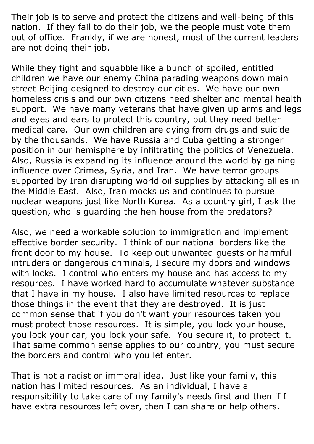Their job is to serve and protect the citizens and well-being of this nation. If they fail to do their job, we the people must vote them out of office. Frankly, if we are honest, most of the current leaders are not doing their job.

While they fight and squabble like a bunch of spoiled, entitled children we have our enemy China parading weapons down main street Beijing designed to destroy our cities. We have our own homeless crisis and our own citizens need shelter and mental health support. We have many veterans that have given up arms and legs and eyes and ears to protect this country, but they need better medical care. Our own children are dying from drugs and suicide by the thousands. We have Russia and Cuba getting a stronger position in our hemisphere by infiltrating the politics of Venezuela. Also, Russia is expanding its influence around the world by gaining influence over Crimea, Syria, and Iran. We have terror groups supported by Iran disrupting world oil supplies by attacking allies in the Middle East. Also, Iran mocks us and continues to pursue nuclear weapons just like North Korea. As a country girl, I ask the question, who is guarding the hen house from the predators?

Also, we need a workable solution to immigration and implement effective border security. I think of our national borders like the front door to my house. To keep out unwanted guests or harmful intruders or dangerous criminals, I secure my doors and windows with locks. I control who enters my house and has access to my resources. I have worked hard to accumulate whatever substance that I have in my house. I also have limited resources to replace those things in the event that they are destroyed. It is just common sense that if you don't want your resources taken you must protect those resources. It is simple, you lock your house, you lock your car, you lock your safe. You secure it, to protect it. That same common sense applies to our country, you must secure the borders and control who you let enter.

That is not a racist or immoral idea. Just like your family, this nation has limited resources. As an individual, I have a responsibility to take care of my family's needs first and then if I have extra resources left over, then I can share or help others.